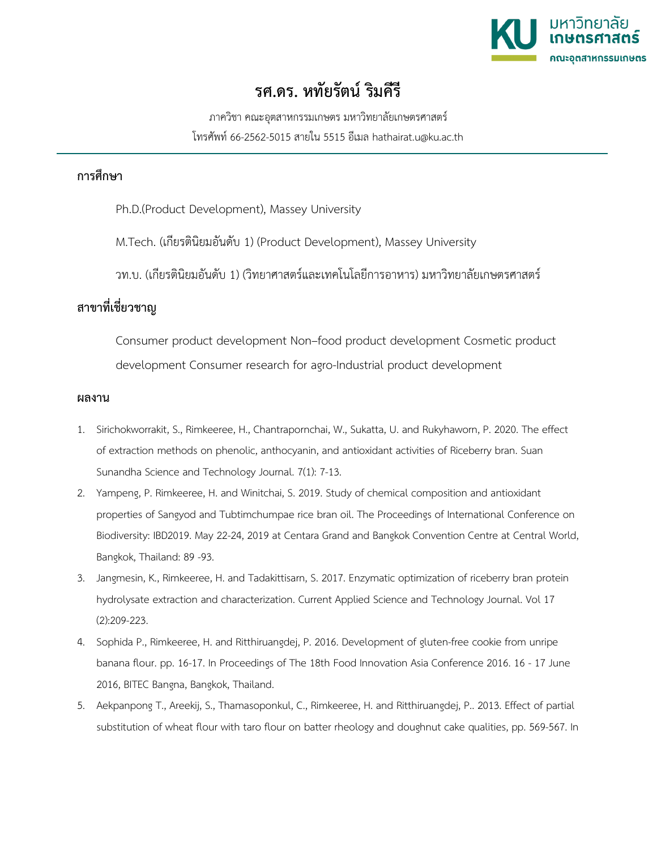

## **รศ.ดร. หทัยรัตน ริมคีรี**

ภาควิชา คณะอุตสาหกรรมเกษตร มหาวิทยาลัยเกษตรศาสตร โทรศัพท 66-2562-5015 สายใน 5515 อีเมล hathairat.u@ku.ac.th

## **การศึกษา**

Ph.D.(Product Development), Massey University

M.Tech. (เกียรตินิยมอันดับ 1) (Product Development), Massey University

วท.บ. (เกียรตินิยมอันดับ 1) (วิทยาศาสตรและเทคโนโลยีการอาหาร) มหาวิทยาลัยเกษตรศาสตร

## **สาขาที่เชี่ยวชาญ**

Consumer product development Non–food product development Cosmetic product development Consumer research for agro-Industrial product development

## **ผลงาน**

- 1. Sirichokworrakit, S., Rimkeeree, H., Chantrapornchai, W., Sukatta, U. and Rukyhaworn, P. 2020. The effect of extraction methods on phenolic, anthocyanin, and antioxidant activities of Riceberry bran. Suan Sunandha Science and Technology Journal. 7(1): 7-13.
- 2. Yampeng, P. Rimkeeree, H. and Winitchai, S. 2019. Study of chemical composition and antioxidant properties of Sangyod and Tubtimchumpae rice bran oil. The Proceedings of International Conference on Biodiversity: IBD2019. May 22-24, 2019 at Centara Grand and Bangkok Convention Centre at Central World, Bangkok, Thailand: 89 -93.
- 3. Jangmesin, K., Rimkeeree, H. and Tadakittisarn, S. 2017. Enzymatic optimization of riceberry bran protein hydrolysate extraction and characterization. Current Applied Science and Technology Journal. Vol 17 (2):209-223.
- 4. Sophida P., Rimkeeree, H. and Ritthiruangdej, P. 2016. Development of gluten-free cookie from unripe banana flour. pp. 16-17. In Proceedings of The 18th Food Innovation Asia Conference 2016. 16 - 17 June 2016, BITEC Bangna, Bangkok, Thailand.
- 5. Aekpanpong T., Areekij, S., Thamasoponkul, C., Rimkeeree, H. and Ritthiruangdej, P.. 2013. Effect of partial substitution of wheat flour with taro flour on batter rheology and doughnut cake qualities, pp. 569-567. In